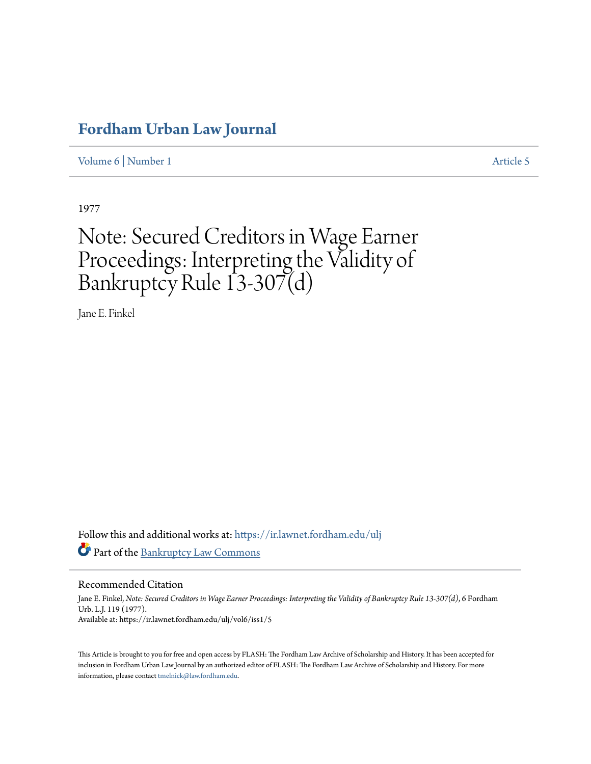## **[Fordham Urban Law Journal](https://ir.lawnet.fordham.edu/ulj?utm_source=ir.lawnet.fordham.edu%2Fulj%2Fvol6%2Fiss1%2F5&utm_medium=PDF&utm_campaign=PDFCoverPages)**

[Volume 6](https://ir.lawnet.fordham.edu/ulj/vol6?utm_source=ir.lawnet.fordham.edu%2Fulj%2Fvol6%2Fiss1%2F5&utm_medium=PDF&utm_campaign=PDFCoverPages) | [Number 1](https://ir.lawnet.fordham.edu/ulj/vol6/iss1?utm_source=ir.lawnet.fordham.edu%2Fulj%2Fvol6%2Fiss1%2F5&utm_medium=PDF&utm_campaign=PDFCoverPages) [Article 5](https://ir.lawnet.fordham.edu/ulj/vol6/iss1/5?utm_source=ir.lawnet.fordham.edu%2Fulj%2Fvol6%2Fiss1%2F5&utm_medium=PDF&utm_campaign=PDFCoverPages)

1977

# Note: Secured Creditors in Wage Earner Proceedings: Interpreting the Validity of Bankruptcy Rule 13-307(d)

Jane E. Finkel

Follow this and additional works at: [https://ir.lawnet.fordham.edu/ulj](https://ir.lawnet.fordham.edu/ulj?utm_source=ir.lawnet.fordham.edu%2Fulj%2Fvol6%2Fiss1%2F5&utm_medium=PDF&utm_campaign=PDFCoverPages) Part of the [Bankruptcy Law Commons](http://network.bepress.com/hgg/discipline/583?utm_source=ir.lawnet.fordham.edu%2Fulj%2Fvol6%2Fiss1%2F5&utm_medium=PDF&utm_campaign=PDFCoverPages)

Recommended Citation

Jane E. Finkel, *Note: Secured Creditors in Wage Earner Proceedings: Interpreting the Validity of Bankruptcy Rule 13-307(d)*, 6 Fordham Urb. L.J. 119 (1977). Available at: https://ir.lawnet.fordham.edu/ulj/vol6/iss1/5

This Article is brought to you for free and open access by FLASH: The Fordham Law Archive of Scholarship and History. It has been accepted for inclusion in Fordham Urban Law Journal by an authorized editor of FLASH: The Fordham Law Archive of Scholarship and History. For more information, please contact [tmelnick@law.fordham.edu](mailto:tmelnick@law.fordham.edu).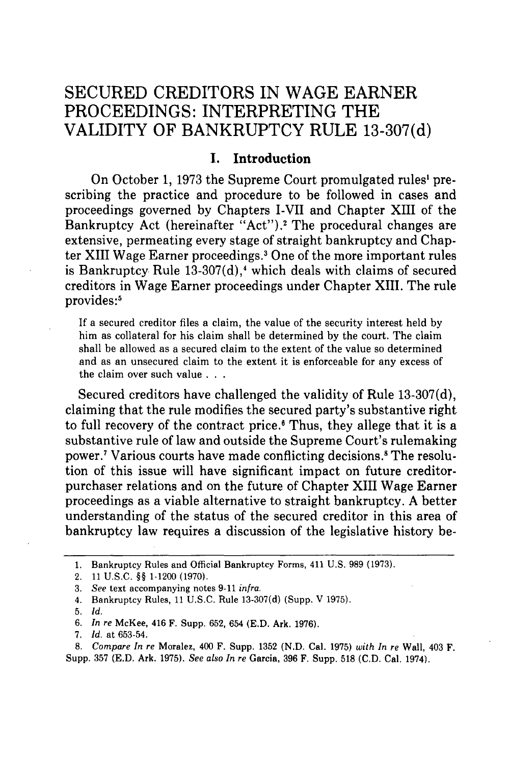### **SECURED** CREDITORS **IN WAGE** EARNER PROCEEDINGS: INTERPRETING THE VALIDITY OF BANKRUPTCY RULE **13-307(d)**

#### **I. Introduction**

On October 1, 1973 the Supreme Court promulgated rules' prescribing the practice and procedure to be followed in cases and proceedings governed by Chapters I-VII and Chapter XIII of the Bankruptcy Act (hereinafter "Act").<sup>2</sup> The procedural changes are extensive, permeating every stage of straight bankruptcy and Chapter XIII Wage Earner proceedings.3 One of the more important rules is Bankruptcy Rule  $13-307(d)$ , which deals with claims of secured creditors in Wage Earner proceedings under Chapter XIII. The rule provides:<sup>5</sup>

If a secured creditor files a claim, the value of the security interest held by him as collateral for his claim shall be determined by the court. The claim shall be allowed as a secured claim to the extent of the value so determined and as an unsecured claim to the extent it is enforceable for any excess of the claim over such value **. . .**

Secured creditors have challenged the validity of Rule 13-307(d), claiming that the rule modifies the secured party's substantive right to full recovery of the contract price.<sup>6</sup> Thus, they allege that it is a substantive rule of law and outside the Supreme Court's rulemaking power.7 Various courts have made conflicting decisions.8 The resolution of this issue will have significant impact on future creditorpurchaser relations and on the future of Chapter XIII Wage Earner proceedings as a viable alternative to straight bankruptcy. A better understanding of the status of the secured creditor in this area of bankruptcy law requires a discussion of the legislative history be-

<sup>1.</sup> Bankruptcy Rules and Official Bankruptcy Forms, 411 U.S. 989 (1973).

<sup>2. 11</sup> U.S.C. §§ 1-1200 (1970).

<sup>3.</sup> *See* text accompanying notes 9-11 *infra.*

<sup>4.</sup> Bankruptcy Rules, 11 U.S.C. Rule 13-307(d) (Supp. V 1975).

<sup>5.</sup> *Id.*

<sup>6.</sup> *In re* McKee, 416 F. Supp. 652, 654 (E.D. Ark. 1976).

<sup>7.</sup> *Id.* at 653-54.

*<sup>8.</sup> Compare In re* Moralez, 400 F. Supp. 1352 (N.D. Cal. 1975) *with In re* Wall, 403 F. Supp. 357 (E.D. Ark. 1975). *See also In re* Garcia, 396 F. Supp. 518 (C.D. Cal. 1974).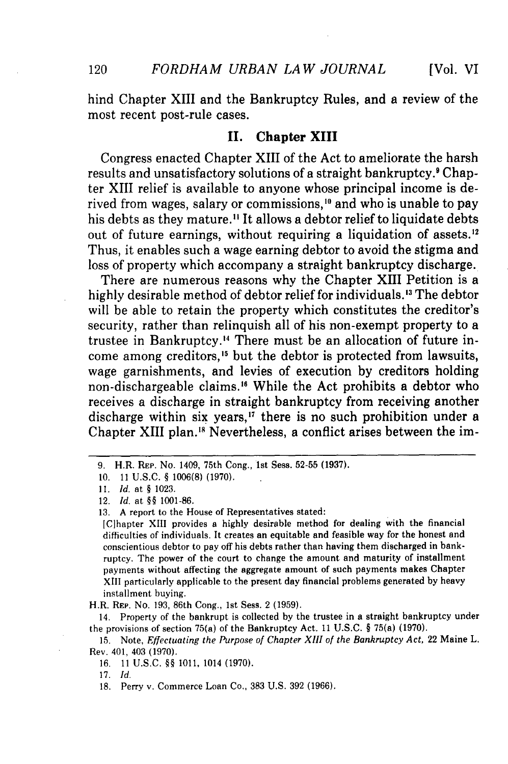120

hind Chapter XIII and the Bankruptcy Rules, and a review of the most recent post-rule cases.

#### **II.** Chapter XIII

Congress enacted Chapter XIII of the Act to ameliorate the harsh results and unsatisfactory solutions of a straight bankruptcy.<sup>9</sup> Chapter XIII relief is available to anyone whose principal income is derived from wages, salary or commissions,<sup>10</sup> and who is unable to pay his debts as they mature.<sup>11</sup> It allows a debtor relief to liquidate debts out of future earnings, without requiring a liquidation of assets.<sup>12</sup> Thus, it enables such a wage earning debtor to avoid the stigma and loss of property which accompany a straight bankruptcy discharge.

There are numerous reasons why the Chapter XIII Petition is a highly desirable method of debtor relief for individuals.<sup>13</sup> The debtor will be able to retain the property which constitutes the creditor's security, rather than relinquish all of his non-exempt property to a trustee in Bankruptcy.<sup>14</sup> There must be an allocation of future income among creditors,<sup>15</sup> but the debtor is protected from lawsuits, wage garnishments, and levies of execution by creditors holding non-dischargeable claims." While the Act prohibits a debtor who receives a discharge in straight bankruptcy from receiving another discharge within six years, $17$  there is no such prohibition under a Chapter XIII plan.<sup>18</sup> Nevertheless, a conflict arises between the im-

H.R. REP. No. 193, 86th Cong., 1st Sess. 2 (1959).

14. Property of the bankrupt is collected by the trustee in a straight bankruptcy under the provisions of section 75(a) of the Bankruptcy Act. 11 U.S.C. § 75(a) (1970).

15. Note, *Effectuating the Purpose of Chapter XIII of the Bankruptcy Act,* 22 Maine L. Rev. 401, 403 (1970).

17. *Id.*

<sup>9.</sup> H.R. REP. No. 1409, 75th Cong., 1st Sess. 52-55 (1937).

<sup>10.</sup> **11** U.S.C. **§** 1006(8) (1970).

*<sup>11.</sup> Id.* at **§** 1023.

<sup>12.</sup> *Id.* at **§** 1001-86.

<sup>13.</sup> A report to the House of Representatives stated:

<sup>[</sup>Cihapter XIII provides a highly desirable method for dealing with the financial difficulties of individuals. It creates an equitable and feasible way for the honest and conscientious debtor to pay off his debts rather than having them discharged in bankruptcy. The power of the court to change the amount and maturity of installment payments without affecting the aggregate amount of such payments makes Chapter XIII particularly applicable to the present day financial problems generated by heavy installment buying.

<sup>16.</sup> **11** U.S.C. *§§* 1011, 1014 (1970).

<sup>18.</sup> Perry v. Commerce Loan Co., 383 U.S. 392 (1966).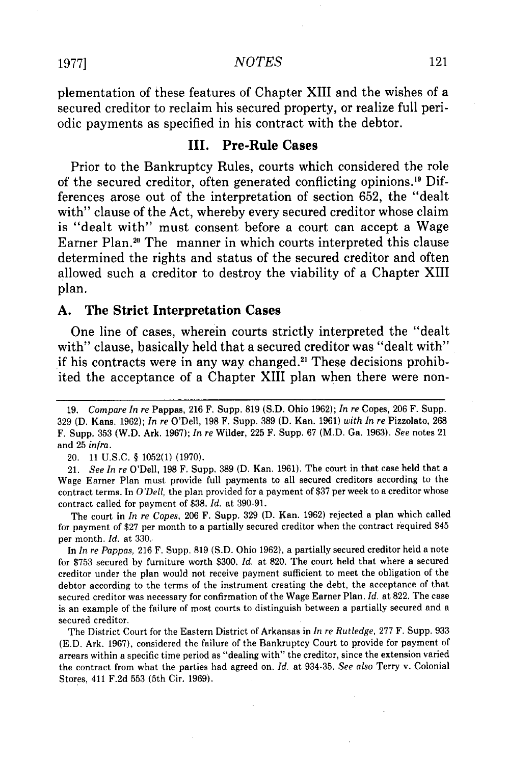<sup>19771</sup> *NOTES*

plementation of these features of Chapter XIII and the wishes of a secured creditor to reclaim his secured property, or realize full periodic payments as specified in his contract with the debtor.

#### **III. Pre-Rule Cases**

Prior to the Bankruptcy Rules, courts which considered the role of the secured creditor, often generated conflicting opinions.<sup>19</sup> Differences arose out of the interpretation of section **652,** the "dealt with" clause of the Act, whereby every secured creditor whose claim is "dealt with" must consent before a court can accept a Wage Earner Plan.'" The manner in which courts interpreted this clause determined the rights and status of the secured creditor and often allowed such a creditor to destroy the viability of a Chapter XIII plan.

#### **A. The Strict Interpretation Cases**

One line of cases, wherein courts strictly interpreted the "dealt with" clause, basically held that a secured creditor was "dealt with" if his contracts were in any way changed.<sup>21</sup> These decisions prohibited the acceptance of a Chapter XIII plan when there were non-

The court in *In re Copes,* 206 F. Supp. 329 (D. Kan. 1962) rejected a plan which called for payment of \$27 per month to a partially secured creditor when the contract required \$45 per month. *Id.* at 330.

In *In re Pappas,* 216 F. Supp. 819 (S.D. Ohio 1962), a partially secured creditor held a note for \$753 secured by furniture worth \$300. *Id.* at 820. The court held that where a secured creditor under the plan would not receive payment sufficient to meet the obligation of the debtor according to the terms of the instrument creating the debt, the acceptance of that secured creditor was necessary for confirmation of the Wage Earner Plan. *Id.* at 822. The case is an example of the failure of most courts to distinguish between a partially secured and a secured creditor.

The District Court for the Eastern District of Arkansas in *In re Rutledge,* 277 F. Supp. 933 (E.D. Ark. 1967), considered the failure of the Bankruptcy Court to provide for payment of arrears within a specific time period as "dealing with" the creditor, since the extension varied the contract from what the parties had agreed on. *Id.* at 934-35. *See also* Terry v. Colonial Stores, 411 F.2d 553 (5th Cir. 1969).

<sup>19.</sup> *Compare In re* Pappas, 216 F. Supp. 819 (S.D. Ohio 1962); *In re* Copes, 206 F. Supp. 329 (D. Kans. 1962); *In re* O'Dell, 198 F. Supp. 389 (D. Kan. 1961) *with In re* Pizzolato, 268 F. Supp. 353 (W.D. Ark. 1967); *In re* Wilder, 225 F. Supp. 67 (M.D. Ga. 1963). *See* notes 21 and 25 *infra.*

<sup>20. 11</sup> U.S.C. § 1052(1) (1970).

<sup>21.</sup> *See In re* O'Dell, 198 F. Supp. 389 (D. Kan. 1961). The court in that case held that a Wage Earner Plan must provide full payments to all secured creditors according to the contract terms. In *O'Dell,* the plan provided for a payment of \$37 per week to a creditor whose contract called for payment of \$38. *Id.* at 390-91.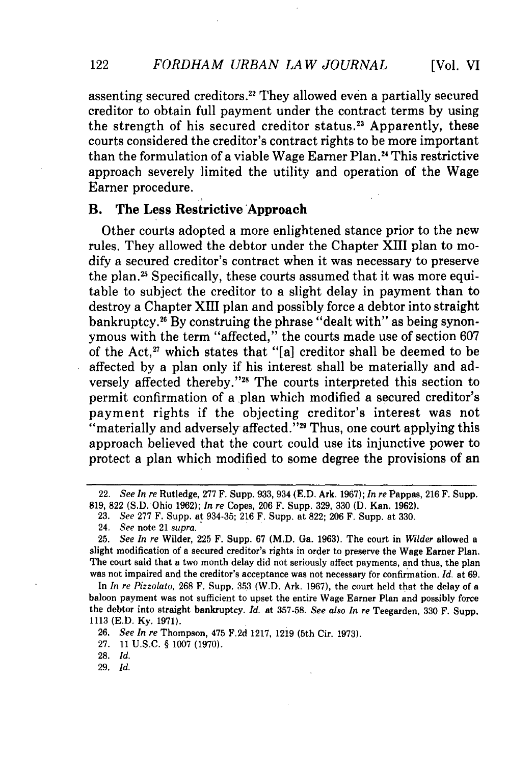assenting secured creditors.<sup>22</sup> They allowed even a partially secured creditor to obtain full payment under the contract terms by using the strength of his secured creditor status.<sup>23</sup> Apparently, these courts considered the creditor's contract rights to be more important than the formulation of a viable Wage Earner Plan.<sup>24</sup> This restrictive approach severely limited the utility and operation of the Wage Earner procedure.

#### B. **The Less Restrictive 'Approach**

Other courts adopted a more enlightened stance prior to the new rules. They allowed the debtor under the Chapter XIII plan to modify a secured creditor's contract when it was necessary to preserve the plan.<sup>25</sup> Specifically, these courts assumed that it was more equitable to subject the creditor to a slight delay in payment than to destroy a Chapter XIII plan and possibly force a debtor into straight bankruptcy." By construing the phrase "dealt with" as being synonymous with the term "affected," the courts made use of section 607 of the Act, $x$ <sup>2</sup> which states that "[a] creditor shall be deemed to be affected by a plan only if his interest shall be materially and adversely affected thereby."<sup>28</sup> The courts interpreted this section to permit confirmation of a plan which modified a secured creditor's payment rights if the objecting creditor's interest was not "materially and adversely affected."<sup>29</sup> Thus, one court applying this approach believed that the court could use its injunctive power to protect a plan which modified to some degree the provisions of an

In *In re Pizzolato,* 268 F. Supp. 353 (W.D. Ark. 1967), the court held that the delay of a baloon payment was not sufficient to upset the entire Wage Earner Plan and possibly force the debtor into straight bankruptcy. *Id.* at 357-58. *See also In re* Teegarden, 330 F. Supp. 1113 (E.D. **Ky.** 1971).

28. Id.

29. *Id.*

122

<sup>22.</sup> *See In re* Rutledge, 277 F. Supp. 933, 934 (E.D. Ark. 1967); *In re* Pappas, 216 F. Supp. 819, 822 (S.D. Ohio 1962); *In re* Copes, 206 F. Supp. 329, 330 (D. Kan. 1962).

<sup>23.</sup> *See* 277 F. Supp. at 934-35; 216 F. Supp. at 822; 206 F. Supp. at 330.

<sup>24.</sup> *See* note 21 *supra.*

<sup>25.</sup> *See In re* Wilder, 225 F. Supp. 67 (M.D. Ga. 1963). The court in *Wilder* allowed a slight modification of a secured creditor's rights in order to preserve the Wage Earner Plan. The court said that a two month delay did not seriously affect payments, and thus, the plan was not impaired and the creditor's acceptance was not necessary for confirmation. *Id.* at 69.

<sup>26.</sup> *See In re* Thompson, 475 F.2d 1217, 1219 (5th Cir. 1973). **27. 11 U.S.C. § 1007 (1970).**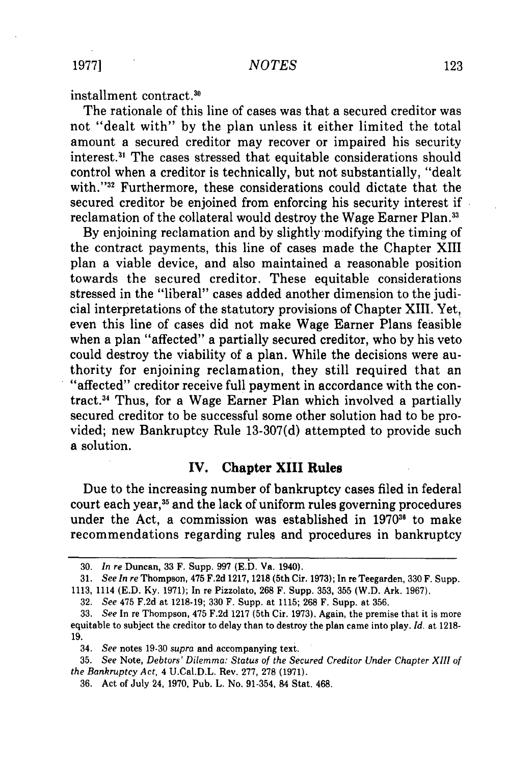installment contract.<sup>30</sup>

The rationale of this line of cases was that a secured creditor was not "dealt with" by the plan unless it either limited the total amount a secured creditor may recover or impaired his security interest.3' The cases stressed that equitable considerations should control when a creditor is technically, but not substantially, "dealt with."<sup>32</sup> Furthermore, these considerations could dictate that the secured creditor be enjoined from enforcing his security interest if reclamation of the collateral would destroy the Wage Earner Plan.<sup>33</sup>

By enjoining reclamation and by slightly modifying the timing of the contract payments, this line of cases made the Chapter XIII plan a viable device, and also maintained a reasonable position towards the secured creditor. These equitable considerations stressed in the "liberal" cases added another dimension to the judicial interpretations of the statutory provisions of Chapter XIII. Yet, even this line of cases did not make Wage Earner Plans feasible when a plan "affected" a partially secured creditor, who by his veto could destroy the viability of a plan. While the decisions were authority for enjoining reclamation, they still required that an "affected" creditor receive full payment in accordance with the contract.34 Thus, for a Wage Earner Plan which involved a partially secured creditor to be successful some other solution had to be provided; new Bankruptcy Rule 13-307(d) attempted to provide such a solution.

#### **IV. Chapter XIII Rules**

Due to the increasing number of bankruptcy cases filed in federal court each year,<sup>35</sup> and the lack of uniform rules governing procedures under the Act, a commission was established in 1970<sup>36</sup> to make recommendations regarding rules and procedures in bankruptcy

**<sup>30.</sup>** *In re* Duncan, 33 F. Supp. **997 (E.D. Va.** 1940).

**<sup>31.</sup>** *See In re* Thompson, 475 **F.2d 1217, 1218** (5th Cir. **1973);** In reTeegarden, **330** F. Supp.

**<sup>1113,</sup>** 1114 **(E.D. Ky. 1971);** In re Pizzolato, **268** F. Supp. **353, 355** (W.D. Ark. **1967).**

**<sup>32.</sup>** *See* 475 **F.2d** at **1218-19; 330** F. Supp. at **1115; 268** F. Supp. at **356.**

**<sup>33.</sup>** *See* In re Thompson, 475 **F.2d 1217** (5th Cir. **1973).** Again, the premise that it is more equitable to subject the creditor to delay than to destroy the plan came into play. *Id.* at **1218- 19.**

<sup>34.</sup> *See* notes **19-30** *supra* and accompanying text.

<sup>35.</sup> *See* Note, *Debtors' Dilemma: Status of the Secured Creditor Under Chapter XIII of the Bankruptcy Act,* 4 U.Cal.D.L. Rev. 277, 278 (1971).

<sup>36.</sup> Act of July 24, 1970, Pub. L. No. 91-354, 84 Stat. 468.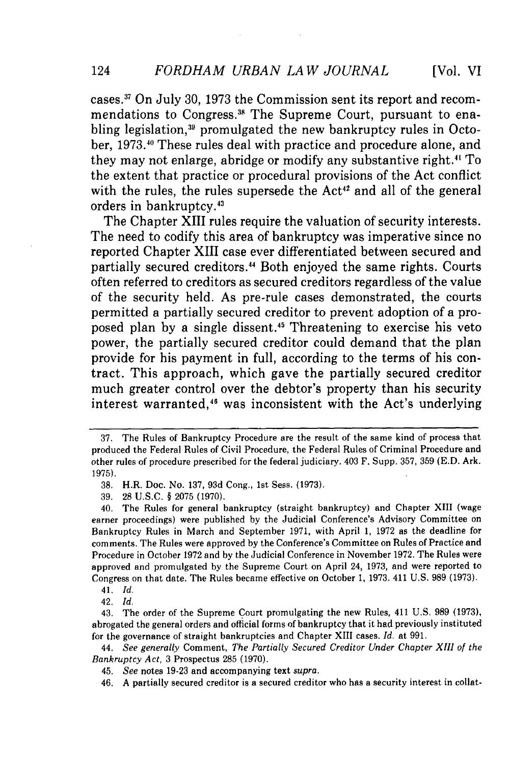cases." On July **30, 1973** the Commission sent its report and recommendations to Congress.<sup>38</sup> The Supreme Court, pursuant to enabling legislation,<sup>39</sup> promulgated the new bankruptcy rules in October, **1973.40** These rules deal with practice and procedure alone, and they may not enlarge, abridge or modify any substantive right.<sup>41</sup> To the extent that practice or procedural provisions of the Act conflict with the rules, the rules supersede the Act<sup>42</sup> and all of the general orders in bankruptcy.43

The Chapter XIII rules require the valuation of security interests. The need to codify this area of bankruptcy was imperative since no reported Chapter XIII case ever differentiated between secured and partially secured creditors.<sup>44</sup> Both enjoyed the same rights. Courts often referred to creditors as secured creditors regardless of the value of the security held. As pre-rule cases demonstrated, the courts permitted a partially secured creditor to prevent adoption of a proposed plan by a single dissent.<sup>45</sup> Threatening to exercise his veto power, the partially secured creditor could demand that the plan provide for his payment in full, according to the terms of his contract. This approach, which gave the partially secured creditor much greater control over the debtor's property than his security interest warranted,<sup>46</sup> was inconsistent with the Act's underlying

<sup>37.</sup> The Rules of Bankruptcy Procedure **are** the result of the same kind of process that produced the Federal Rules of Civil Procedure, the Federal Rules of Criminal Procedure and other rules of procedure prescribed for the federal judiciary. 403 F. Supp. 357, 359 (E.D. Ark. 1975).

**<sup>38.</sup>** H.R. Doc. No. 137, 93d Cong., 1st Sess. (1973).

<sup>39. 28</sup> U.S.C. § 2075 (1970).

<sup>40.</sup> The Rules for general bankruptcy (straight bankruptcy) and Chapter XIII (wage earner proceedings) were published by the Judicial Conference's Advisory Committee on Bankruptcy Rules in March and September 1971, with April 1, 1972 as the deadline for comments. The Rules were approved by the Conference's Committee on Rules of Practice and Procedure in October **1972** and **by** the Judicial Conference in November 1972. The Rules were approved and promulgated **by** the Supreme Court on April 24, 1973, and were reported to Congress on that date. The Rules became effective on October 1, 1973. 411 U.S. 989 (1973).

<sup>41.</sup> *Id.*

<sup>42.</sup> *Id.*

<sup>43.</sup> The order of the Supreme Court promulgating the new Rules, 411 **U.S. 989 (1973),** abrogated the general orders and official forms of bankruptcy that it had previously instituted for the governance of straight bankruptcies and Chapter XIII cases. *Id.* at **991.**

<sup>44.</sup> *See generally* Comment, *The Partially Secured Creditor Under Chapter XIII of the Bankruptcy Act,* **3** Prospectus **285 (1970).**

<sup>45.</sup> *See* notes **19-23** and accompanying text supra.

<sup>46.</sup> **A** partially secured creditor is a secured creditor who has a security interest in collat-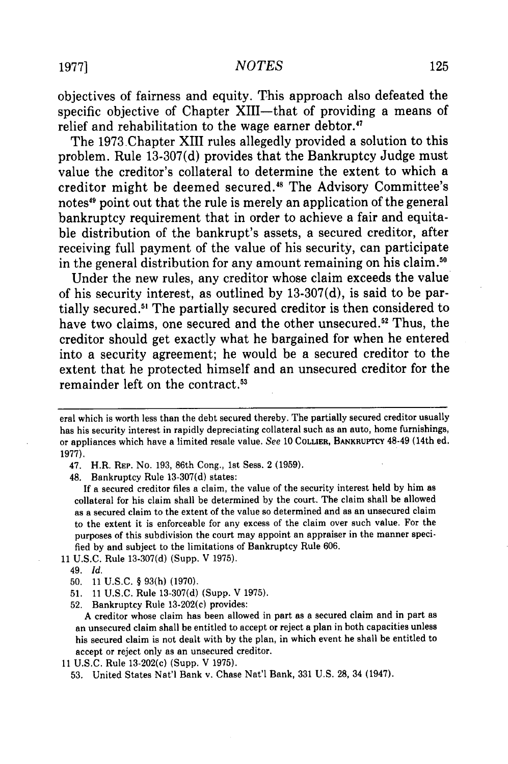#### 1977] *NOTES*

objectives of fairness and equity. This approach also defeated the specific objective of Chapter XIII-that of providing a means of relief and rehabilitation to the wage earner debtor.<sup>47</sup>

The 1973 Chapter XIII rules allegedly provided a solution to this problem. Rule **13-307(d)** provides that the Bankruptcy Judge must value the creditor's collateral to determine the extent to which a creditor might be deemed secured.<sup>48</sup> The Advisory Committee's notes<sup>49</sup> point out that the rule is merely an application of the general bankruptcy requirement that in order to achieve a fair and equitable distribution of the bankrupt's assets, a secured creditor, after receiving full payment of the value of his security, can participate in the general distribution for any amount remaining on his claim.<sup>5</sup>

Under the new rules, any creditor whose claim exceeds the value of his security interest, as outlined **by 13-307(d),** is said to be partially secured.5' The partially secured creditor is then considered to have two claims, one secured and the other unsecured.<sup>52</sup> Thus, the creditor should get exactly what he bargained for when he entered into a security agreement; he would be a secured creditor to the extent that he protected himself and an unsecured creditor for the remainder left on the contract.<sup>53</sup>

47. H.R. REP. No. 193, 86th Cong., 1st Sess. 2 (1959).

48. Bankruptcy Rule 13-307(d) states:

**If** a secured creditor files a claim, the value of the security interest held **by** him as collateral for his claim shall be determined by the court. The claim shall be allowed as a secured claim to the extent of the value so determined and as an unsecured claim to the extent it is enforceable for any excess of the claim over such value. For the purposes of this subdivision the court may appoint an appraiser in the manner specified **by** and subject to the limitations of Bankruptcy Rule 606.

- 11 U.S.C. Rule 13-307(d) (Supp. V 1975).
	- 49. *Id.*
	- 50. 11 U.S.C. § 93(h) (1970).
	- 51. 11 U.S.C. Rule 13-307(d) (Supp. V 1975).
	- 52. Bankruptcy Rule 13-202(c) provides:

**A** creditor whose claim has been allowed in part as a secured claim and in part as an unsecured claim shall be entitled to accept or reject a plan in both capacities unless his secured claim is not dealt with **by** the plan, in which event he shall be entitled to accept or reject only as an unsecured creditor.

- 11 U.S.C. Rule 13-202(c) (Supp. V 1975).
	- 53. United States Nat'l Bank v. Chase Nat'l Bank, 331 U.S. 28, 34 (1947).

eral which is worth less than the debt secured thereby. The partially secured creditor usually has his security interest in rapidly depreciating collateral such as an auto, home furnishings, or appliances which have a limited resale value. *See* **10 COLLIER, BANKRUPTCY** 48-49 (14th ed. 1977).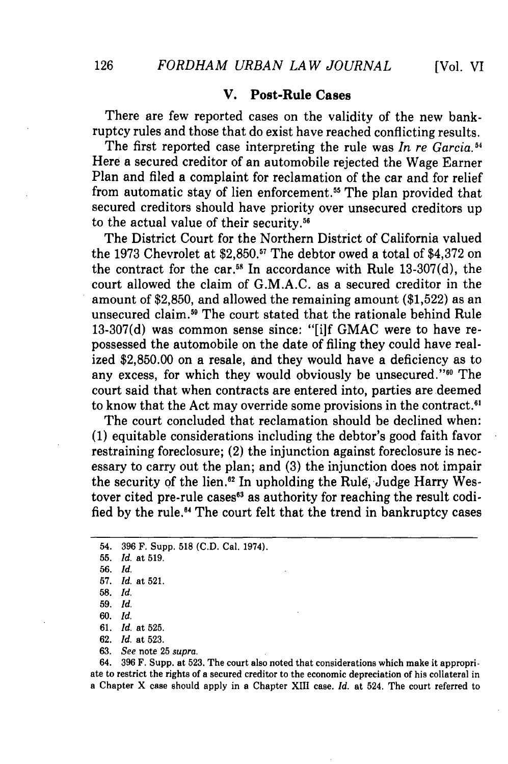#### **V. Post-Rule Cases**

There are few reported cases on the validity of the new bankruptcy rules and those that do exist have reached conflicting results.

The first reported case interpreting the rule was *In re Garcia.*<sup>54</sup> Here a secured creditor of an automobile rejected the Wage Earner Plan and filed a complaint for reclamation of the car and for relief from automatic stay of lien enforcement.<sup>55</sup> The plan provided that secured creditors should have priority over unsecured creditors up to the actual value of their security.<sup>56</sup>

The District Court for the Northern District of California valued the 1973 Chevrolet at \$2,850.<sup>57</sup> The debtor owed a total of \$4,372 on the contract for the car.<sup>58</sup> In accordance with Rule 13-307(d), the court allowed the claim of G.M.A.C. as a secured creditor in the amount of \$2,850, and allowed the remaining amount (\$1,522) as an unsecured claim.<sup>59</sup> The court stated that the rationale behind Rule 13-307(d) was common sense since: "[i]f GMAC were to have repossessed the automobile on the date of filing they could have realized \$2,850.00 on a resale, and they would have a deficiency as to any excess, for which they would obviously be unsecured."<sup>60</sup> The court said that when contracts are entered into, parties are deemed to know that the Act may override some provisions in the contract.<sup>61</sup>

The court concluded that reclamation should be declined when: (1) equitable considerations including the debtor's good faith favor restraining foreclosure; (2) the injunction against foreclosure is necessary to carry out the plan; and (3) the injunction does not impair the security of the lien.<sup>82</sup> In upholding the Rule, Judge Harry Westover cited pre-rule cases<sup>63</sup> as authority for reaching the result codified by the rule.<sup>64</sup> The court felt that the trend in bankruptcy cases

63. *See* note 25 *supra.*

64. 396 F. Supp. at 523. The court also noted that considerations which make it appropriate to restrict the rights of a secured creditor to the economic depreciation of his collateral in a Chapter X case should apply in a Chapter XIII case. *Id.* at 524. The court referred to

<sup>54. 396</sup> F. Supp. 518 (C.D. Cal. 1974).

<sup>55.</sup> *Id.* at 519.

<sup>56.</sup> *Id.*

<sup>57.</sup> *Id.* at 521.

**<sup>58.</sup>** *Id.*

<sup>59.</sup> *Id.*

<sup>60.</sup> *Id.*

<sup>61.</sup> *Id.* at 525.

**<sup>62.</sup>** *Id.* at 523.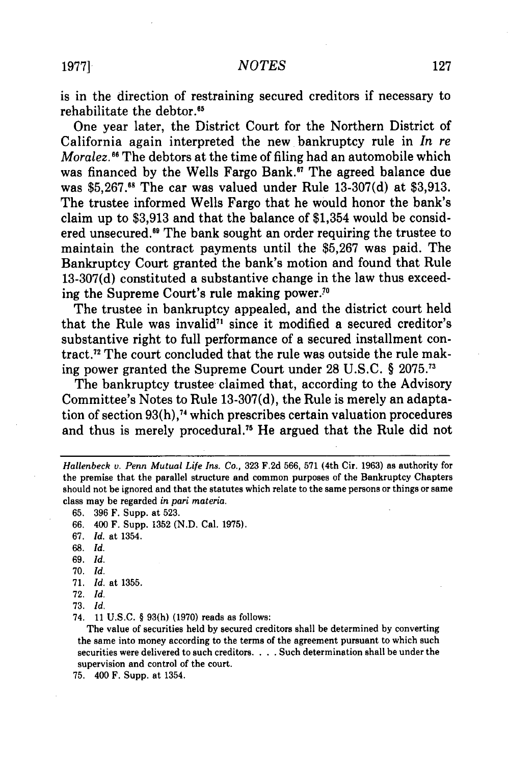is in the direction of restraining secured creditors if necessary to rehabilitate the debtor.<sup>65</sup>

One year later, the District Court for the Northern District of California again interpreted the new bankruptcy rule in *In re Moralez.*<sup>66</sup> The debtors at the time of filing had an automobile which was financed by the Wells Fargo Bank.<sup>67</sup> The agreed balance due was \$5,267.<sup>68</sup> The car was valued under Rule 13-307(d) at \$3,913. The trustee informed Wells Fargo that he would honor the bank's claim up to \$3,913 and that the balance of \$1,354 would be considered unsecured.<sup>69</sup> The bank sought an order requiring the trustee to maintain the contract payments until the \$5,267 was paid. The Bankruptcy Court granted the bank's motion and found that Rule 13-307(d) constituted a substantive change in the law thus exceeding the Supreme Court's rule making power.<sup>70</sup>

The trustee in bankruptcy appealed, and the district court held that the Rule was invalid<sup> $n$ </sup> since it modified a secured creditor's substantive right to full performance of a secured installment contract." The court concluded that the rule was outside the rule making power granted the Supreme Court under 28 U.S.C. § 2075. <sup>7</sup>

The bankruptcy trustee claimed that, according to the Advisory Committee's Notes to Rule 13-307(d), the Rule is merely an adaptation of section 93(h),74 which prescribes certain valuation procedures and thus is merely procedural.75 He argued that the Rule did not

- 68. *Id.*
- 69. *Id.*
- 70. *Id.*
- 71. *Id.* at 1355.
- 72. *Id.*

**73.** *Id.*

74. 11 U.S.C. § **93(h)** (1970) reads as follows:

The value of securities held by secured creditors shall be determined by converting the same into money according to the terms of the agreement pursuant to which such securities were delivered to such creditors. . **.** . Such determination shall be under the supervision and control of the court.

75. 400 F. Supp. at 1354.

*Hallenbeck v. Penn Mutual Life Ins. Co.,* 323 F.2d 566, 571 (4th Cir. 1963) as authority for the premise that the parallel structure and common purposes of the Bankruptcy Chapters should not be ignored and that the statutes which relate to the same persons or things or same class may be regarded *in pari materia.*

<sup>65. 396</sup> F. Supp. at 523.

<sup>66. 400</sup> F. Supp. 1352 (N.D. Cal. 1975).

<sup>67.</sup> *Id.* at 1354.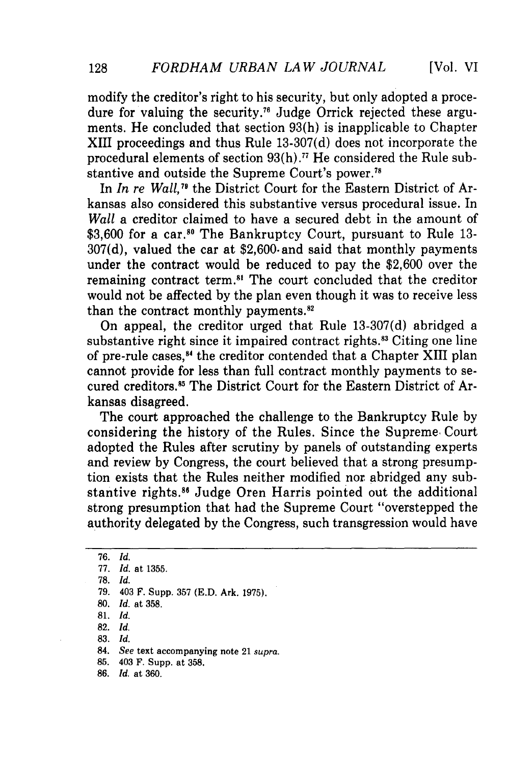modify the creditor's right to his security, but only adopted a procedure for valuing the security." Judge Orrick rejected these arguments. He concluded that section 93(h) is inapplicable to Chapter XIII proceedings and thus Rule 13-307(d) does not incorporate the procedural elements of section 93(h).77 He considered the Rule substantive and outside the Supreme Court's power.<sup>71</sup>

In *In re Wall,79* the District Court for the Eastern District of Arkansas also considered this substantive versus procedural issue. In *Wall* a creditor claimed to have a secured debt in the amount of \$3,600 for a car.<sup>80</sup> The Bankruptcy Court, pursuant to Rule 13-307(d), valued the car at \$2,600.and said that monthly payments under the contract would be reduced to pay the \$2,600 over the remaining contract term.<sup>81</sup> The court concluded that the creditor would not be affected by the plan even though it was to receive less than the contract monthly payments.<sup>82</sup>

On appeal, the creditor urged that Rule 13-307(d) abridged a substantive right since it impaired contract rights.<sup>83</sup> Citing one line of pre-rule cases,<sup>84</sup> the creditor contended that a Chapter XIII plan cannot provide for less than full contract monthly payments to secured creditors.<sup>85</sup> The District Court for the Eastern District of Arkansas disagreed.

The court approached the challenge to the Bankruptcy Rule by considering the history of the Rules. Since the Supreme, Court adopted the Rules after scrutiny by panels of outstanding experts and review by Congress, the court believed that a strong presumption exists that the Rules neither modified nor abridged any substantive rights.8" Judge Oren Harris pointed out the additional strong presumption that had the Supreme Court "overstepped the authority delegated by the Congress, such transgression would have

- **82.** *Id.*
- **83.** *Id.*
- 84. *See* text accompanying note 21 *supra.*
- **85.** 403 F. Supp. at **358.**
- **86.** *Id.* at **360.**

128

<sup>76.</sup> *Id.*

<sup>77.</sup> *Id.* at **1355.**

**<sup>78.</sup>** *Id.*

**<sup>79.</sup>** 403 F. Supp. **357 (E.D.** Ark. **1975).**

**<sup>80.</sup>** *Id.* at **358.**

**<sup>81.</sup>** *Id.*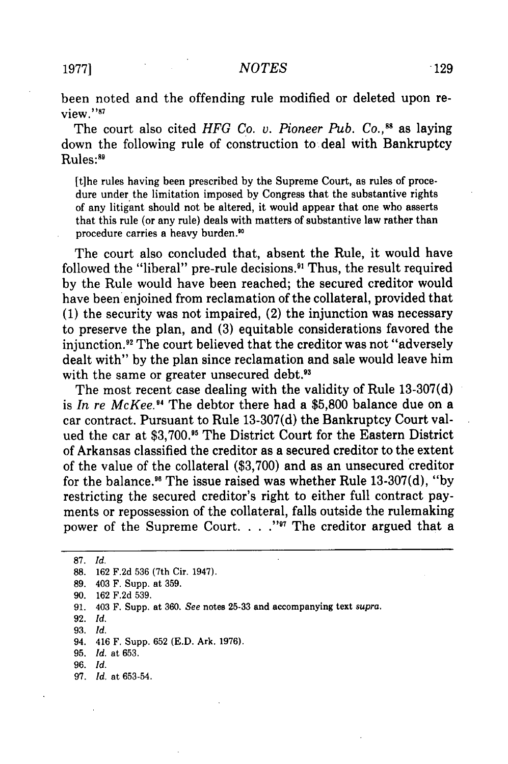been noted and the offending rule modified or deleted upon review."<sup>87</sup>

The court also cited *HFG Co. v. Pioneer Pub. Co.*,<sup>88</sup> as laying down the following rule of construction to deal with Bankruptcy Rules:89

[t]he rules having been prescribed by the Supreme Court, as rules of procedure under the limitation imposed by Congress that the substantive rights of any litigant should not be altered, it would appear that one who asserts that this rule (or any rule) deals with matters of substantive law rather than procedure carries a heavy burden."

The court also concluded that, absent the Rule, it would have followed the "liberal" pre-rule decisions." Thus, the result required by the Rule would have been reached; the secured creditor would have been enjoined from reclamation of the collateral, provided that (1) the security was not impaired, (2) the injunction was necessary to preserve the plan, and (3) equitable considerations favored the injunction.<sup>92</sup> The court believed that the creditor was not "adversely dealt with" by the plan since reclamation and sale would leave him with the same or greater unsecured debt.<sup>93</sup>

The most recent case dealing with the validity of Rule 13-307(d) is *In re McKee.*<sup>94</sup> The debtor there had a \$5,800 balance due on a car contract. Pursuant to Rule 13-307(d) the Bankruptcy Court valued the car at \$3,700.<sup>95</sup> The District Court for the Eastern District of Arkansas classified the creditor as a secured creditor to the extent of the value of the collateral (\$3,700) and as an unsecured creditor for the balance.<sup>96</sup> The issue raised was whether Rule  $13-307(d)$ , "by restricting the secured creditor's right to either full contract payments or repossession of the collateral, falls outside the rulemaking power of the Supreme Court.  $\ldots$  "<sup>97</sup> The creditor argued that a

87. *Id.* 88. 162 F.2d 536 (7th Cir. 1947). 89. 403 F. Supp. at 359. 90. 162 F.2d 539. 91. 403 F. Supp. at 360. *See* notes 25-33 and accompanying text *supra.* 92. *Id.* 93. *Id.* 94. 416 F. Supp. 652 (E.D. Ark. 1976). 95. *Id.* at 653. 96. *Id.* 97. *Id.* at 653-54.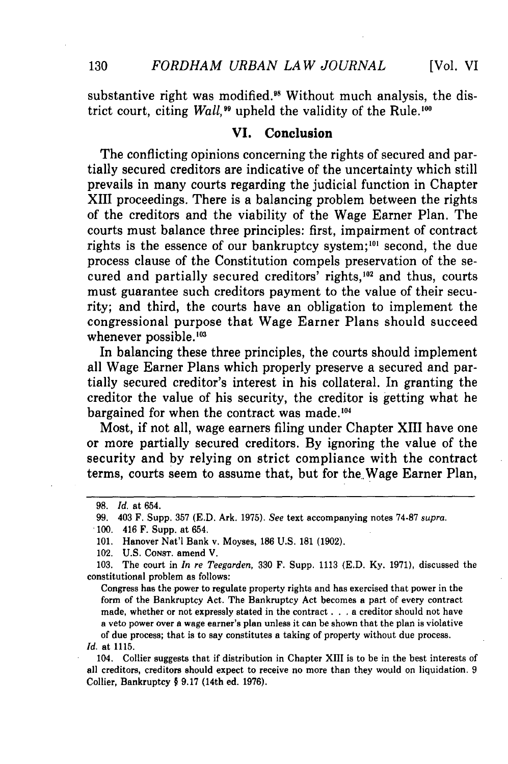substantive right was modified.<sup>98</sup> Without much analysis, the district court, citing *Wall*,<sup>99</sup> upheld the validity of the Rule.<sup>100</sup>

#### **VI.** Conclusion

The conflicting opinions concerning the rights of secured and partially secured creditors are indicative of the uncertainty which still prevails in many courts regarding the judicial function in Chapter XIII proceedings. There is a balancing problem between the rights of the creditors and the viability of the Wage Earner Plan. The courts must balance three principles: first, impairment of contract rights is the essence of our bankruptcy system;<sup>101</sup> second, the due process clause of the Constitution compels preservation of the secured and partially secured creditors' rights,<sup>102</sup> and thus, courts must guarantee such creditors payment to the value of their security; and third, the courts have an obligation to implement the congressional purpose that Wage Earner Plans should succeed whenever possible. $103$ 

In balancing these three principles, the courts should implement all Wage Earner Plans which properly preserve a secured and partially secured creditor's interest in his collateral. In granting the creditor the value of his security, the creditor is getting what he bargained for when the contract was made.<sup>104</sup>

Most, if not all, wage earners filing under Chapter XIII have one or more partially secured creditors. **By** ignoring the value of the security and **by** relying on strict compliance with the contract terms, courts seem to assume that, but for the, Wage Earner Plan,

Congress has the power to regulate property rights and has exercised that power in the form of the Bankruptcy Act. The Bankruptcy Act becomes a part of every contract made, whether or not expressly stated in the contract **. .** a creditor should not have a veto power over a wage earner's plan unless it can be shown that the plan is violative of due process; that is to say constitutes a taking of property without due process. *Id.* at **1115.**

104. Collier suggests that if distribution in Chapter XIII is to be in the best interests of all creditors, creditors should expect to receive no more than they would on liquidation. **9** Collier, Bankruptcy § **9.17** (14th ed. **1976).**

**<sup>98.</sup>** *Id.* at 654.

**<sup>99.</sup>** 403 F. Supp. **357 (E.D.** Ark. **1975).** *See* text accompanying notes **74-87** *supra.*

**<sup>.100.</sup>** 416 F. Supp. at 654.

**<sup>101.</sup>** Hanover Nat'l Bank v. Moyses, **186 U.S. 181 (1902).**

<sup>102.</sup> **U.S. CONST.** amend V.

**<sup>103.</sup>** The court in *In re Teegarden,* **330** F. Supp. 1113 **(E.D. Ky. 1971),** discussed the constitutional problem as follows: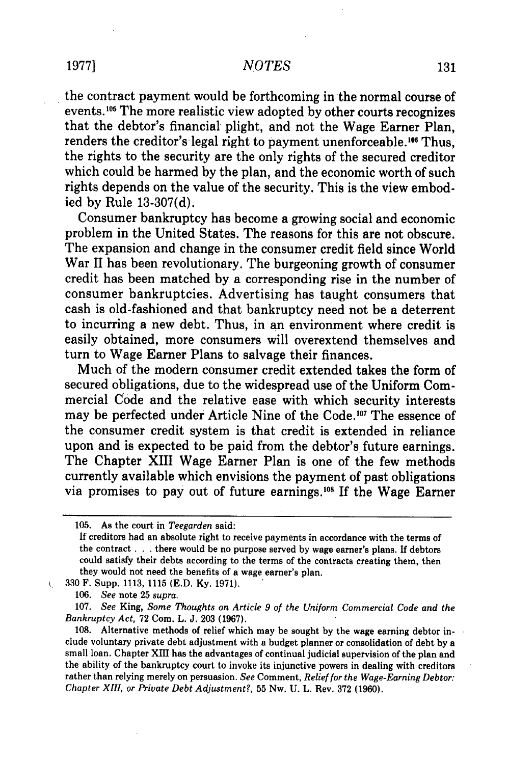#### *NOTES*

the contract payment would be forthcoming in the normal course of events.<sup>105</sup> The more realistic view adopted by other courts recognizes that the debtor's financial plight, and not the Wage Earner Plan, renders the creditor's legal right to payment unenforceable.<sup>106</sup> Thus, the rights to the security are the only rights of the secured creditor which could be harmed by the plan, and the economic worth of such rights depends on the value of the security. This is the view embodied by Rule 13-307(d).

Consumer bankruptcy has become a growing social and economic problem in the United States. The reasons for this are not obscure. The expansion and change in the consumer credit field since World War II has been revolutionary. The burgeoning growth of consumer credit has been matched by a corresponding rise in the number of consumer bankruptcies. Advertising has taught consumers that cash is old-fashioned and that bankruptcy need not be a deterrent to incurring a new debt. Thus, in an environment where credit is easily obtained, more consumers will overextend themselves and turn to Wage Earner Plans to salvage their finances.

Much of the modern consumer credit extended takes the form of secured obligations, due to the widespread use of the Uniform Commercial Code and the relative ease with which security interests may be perfected under Article Nine of the Code.<sup>107</sup> The essence of the consumer credit system is that credit is extended in reliance upon and is expected to be paid from the debtor's future earnings. The Chapter XIII Wage Earner Plan is one of the few methods currently available which envisions the payment of past obligations via promises to pay out of future earnings.<sup>108</sup> If the Wage Earner

*106. See* note 25 *supra.*

 $\mathbf{C}$ 

107. *See* King, *Some Thoughts on Article 9 of the Uniform Commercial Code and the Bankruptcy Act,* 72 Com. L. J. 203 (1967).

108. Alternative methods of relief which may be sought by the wage earning debtor include voluntary private debt adjustment with a budget planner or consolidation of debt by a small loan. Chapter XIII has the advantages of continual judicial supervision of the plan and the ability of the bankruptcy court to invoke its injunctive powers in dealing with creditors rather than relying merely on persuasion. *See* Comment, *Relief for the Wage-Earning Debtor: Chapter XIII, or Private Debt Adjustment?,* 55 Nw. U. L. Rev. 372 (1960).

<sup>105.</sup> As the court in *Teegarden* said:

If creditors had an absolute right to receive payments in accordance with the terms of the contract **. . .** there would be no purpose served by wage earner's plans. If debtors could satisfy their debts according to the terms of the contracts creating them, then they would not need the benefits of a wage earner's plan.

<sup>330</sup> F. Supp. 1113, 1115 (E.D. Ky. 1971).